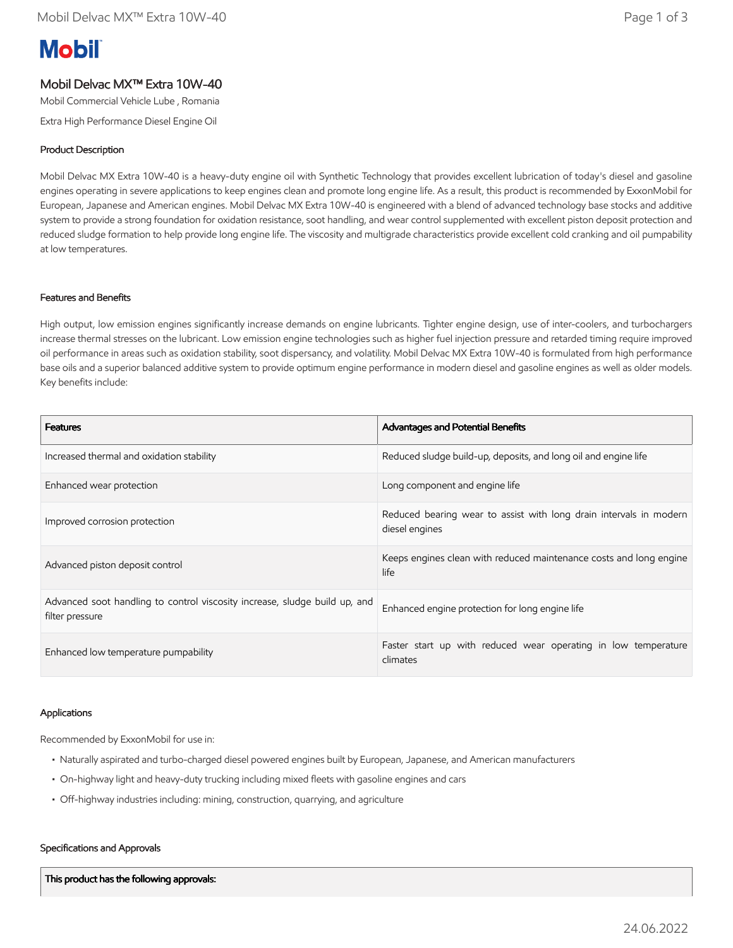# **Mobil**

## Mobil Delvac MX™ Extra 10W-40

Mobil Commercial Vehicle Lube , Romania

Extra High Performance Diesel Engine Oil

### Product Description

Mobil Delvac MX Extra 10W-40 is a heavy-duty engine oil with Synthetic Technology that provides excellent lubrication of today's diesel and gasoline engines operating in severe applications to keep engines clean and promote long engine life. As a result, this product is recommended by ExxonMobil for European, Japanese and American engines. Mobil Delvac MX Extra 10W-40 is engineered with a blend of advanced technology base stocks and additive system to provide a strong foundation for oxidation resistance, soot handling, and wear control supplemented with excellent piston deposit protection and reduced sludge formation to help provide long engine life. The viscosity and multigrade characteristics provide excellent cold cranking and oil pumpability at low temperatures.

#### Features and Benefits

High output, low emission engines significantly increase demands on engine lubricants. Tighter engine design, use of inter-coolers, and turbochargers increase thermal stresses on the lubricant. Low emission engine technologies such as higher fuel injection pressure and retarded timing require improved oil performance in areas such as oxidation stability, soot dispersancy, and volatility. Mobil Delvac MX Extra 10W-40 is formulated from high performance base oils and a superior balanced additive system to provide optimum engine performance in modern diesel and gasoline engines as well as older models. Key benefits include:

| <b>Features</b>                                                                               | <b>Advantages and Potential Benefits</b>                                             |
|-----------------------------------------------------------------------------------------------|--------------------------------------------------------------------------------------|
| Increased thermal and oxidation stability                                                     | Reduced sludge build-up, deposits, and long oil and engine life                      |
| Enhanced wear protection                                                                      | Long component and engine life                                                       |
| Improved corrosion protection                                                                 | Reduced bearing wear to assist with long drain intervals in modern<br>diesel engines |
| Advanced piston deposit control                                                               | Keeps engines clean with reduced maintenance costs and long engine<br>life           |
| Advanced soot handling to control viscosity increase, sludge build up, and<br>filter pressure | Enhanced engine protection for long engine life                                      |
| Enhanced low temperature pumpability                                                          | Faster start up with reduced wear operating in low temperature<br>climates           |

#### Applications

Recommended by ExxonMobil for use in:

- Naturally aspirated and turbo-charged diesel powered engines built by European, Japanese, and American manufacturers
- On-highway light and heavy-duty trucking including mixed fleets with gasoline engines and cars
- Off-highway industries including: mining, construction, quarrying, and agriculture

#### Specifications and Approvals

This product has the following approvals: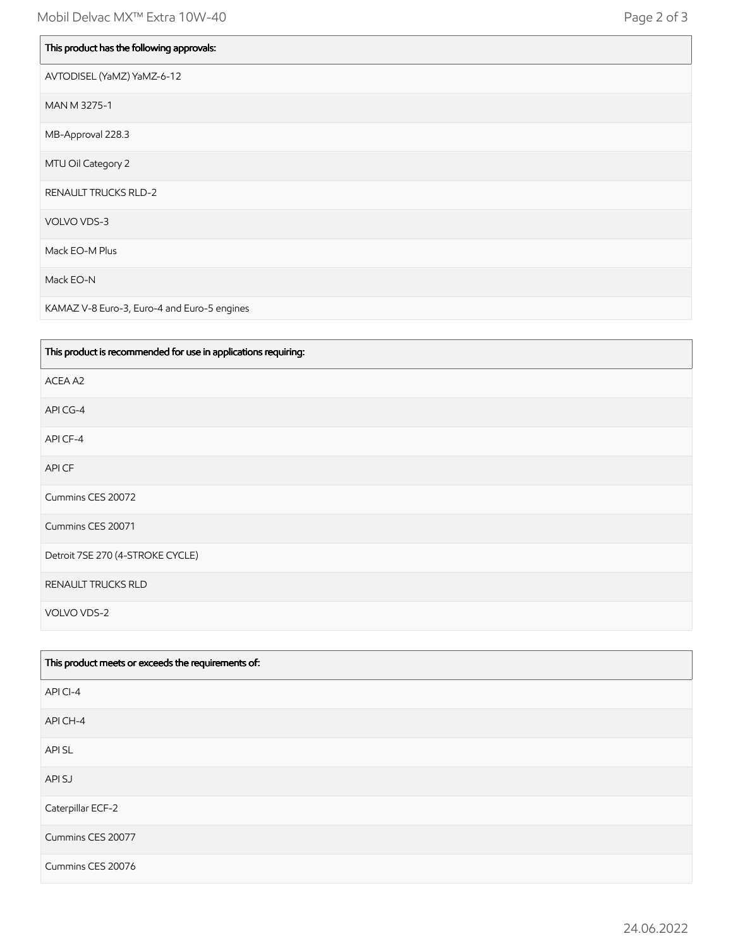| This product has the following approvals: |
|-------------------------------------------|
| AVTODISEL (YaMZ) YaMZ-6-12                |
| MAN M 3275-1                              |
| MB-Approval 228.3                         |
| MTU Oil Category 2                        |
| <b>RENAULT TRUCKS RLD-2</b>               |
| VOLVO VDS-3                               |
| Mack EO-M Plus                            |
| Mack EO-N                                 |

KAMAZ V-8 Euro-3, Euro-4 and Euro-5 engines

| This product is recommended for use in applications requiring: |
|----------------------------------------------------------------|
| ACEA A2                                                        |
| API CG-4                                                       |
| API CF-4                                                       |
| API CF                                                         |
| Cummins CES 20072                                              |
| Cummins CES 20071                                              |
| Detroit 7SE 270 (4-STROKE CYCLE)                               |
| RENAULT TRUCKS RLD                                             |
| VOLVO VDS-2                                                    |

| This product meets or exceeds the requirements of: |
|----------------------------------------------------|
| API CI-4                                           |
| API CH-4                                           |
| API SL                                             |
| API SJ                                             |
| Caterpillar ECF-2                                  |
| Cummins CES 20077                                  |
| Cummins CES 20076                                  |